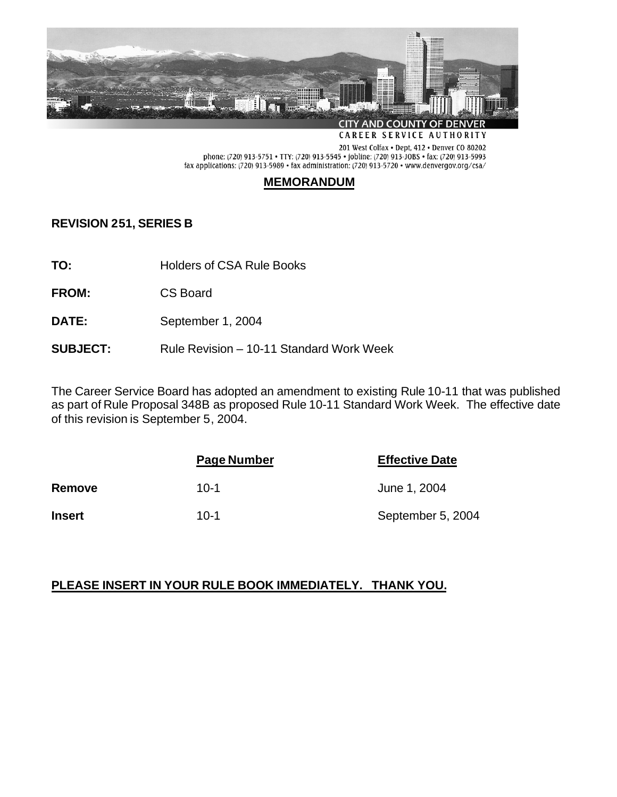

201 West Colfax . Dept, 412 . Denver CO 80202 phone: (720) 913-5751 • TTY: (720) 913-5545 • jobline: (720) 913-JOBS • fax: (720) 913-5993 fax applications: (720) 913-5989 • fax administration: (720) 913-5720 • www.denvergov.org/csa/

# **MEMORANDUM**

**REVISION 251, SERIES B**

**TO:** Holders of CSA Rule Books

**FROM:** CS Board

**DATE:** September 1, 2004

## **SUBJECT:** Rule Revision – 10-11 Standard Work Week

The Career Service Board has adopted an amendment to existing Rule 10-11 that was published as part of Rule Proposal 348B as proposed Rule 10-11 Standard Work Week. The effective date of this revision is September 5, 2004.

|               | Page Number | <b>Effective Date</b> |
|---------------|-------------|-----------------------|
| Remove        | $10-1$      | June 1, 2004          |
| <b>Insert</b> | $10-1$      | September 5, 2004     |

# **PLEASE INSERT IN YOUR RULE BOOK IMMEDIATELY. THANK YOU.**